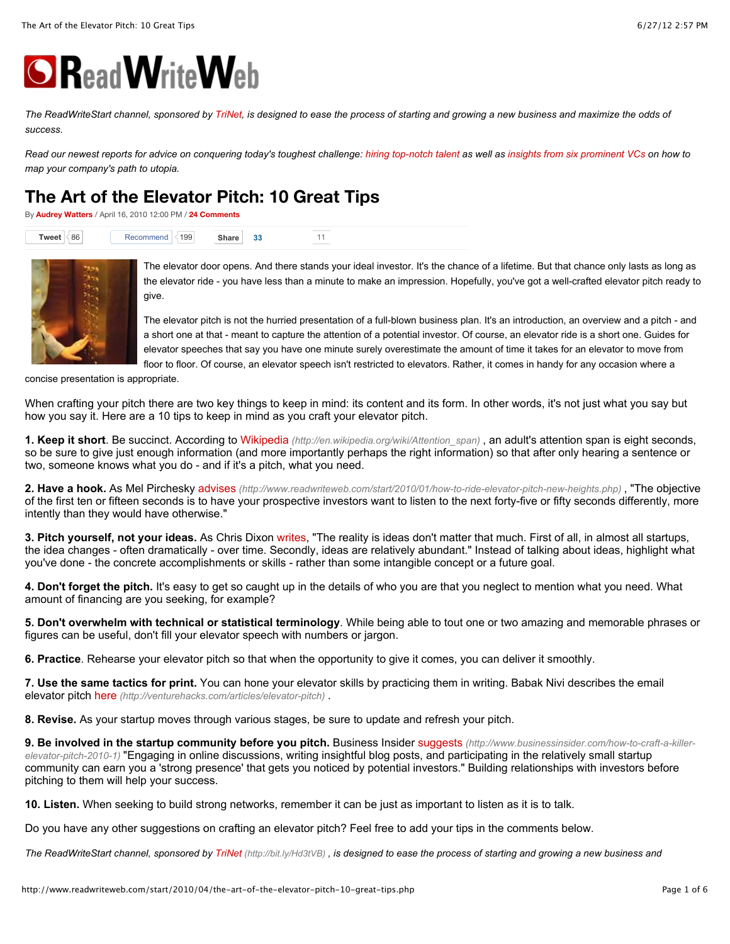

*The ReadWriteStart channel, sponsored by [TriNet,](http://bit.ly/Hd3tVB) is designed to ease the process of starting and growing a new business and maximize the odds of success.*

*Read our newest reports for advice on conquering today's toughest challenge: hiring top-notch talent as well as [insights from six prominent VCs](http://www.readwriteweb.com/reports/six-vcs-speak-out-growing) on how to map your company's path to utopia.*

## **[The Art of the Elevator Pitch: 10 Great Tips](http://www.readwriteweb.com/start/2010/04/the-art-of-the-elevator-pitch-10-great-tips.php)**

By **[Audrey Watters](http://www.readwriteweb.com/start/author/audrey-watters.php)** / April 16, 2010 12:00 PM / **[24 Comments](http://www.readwriteweb.com/start/2010/04/the-art-of-the-elevator-pitch-10-great-tips.php#disqus_thread)**

| 86<br>Tweet | 199<br>Recommend | Share<br>33 |  |  |
|-------------|------------------|-------------|--|--|
|-------------|------------------|-------------|--|--|



The elevator door opens. And there stands your ideal investor. It's the chance of a lifetime. But that chance only lasts as long as the elevator ride - you have less than a minute to make an impression. Hopefully, you've got a well-crafted elevator pitch ready to give.

The elevator pitch is not the hurried presentation of a full-blown business plan. It's an introduction, an overview and a pitch - and a short one at that - meant to capture the attention of a potential investor. Of course, an elevator ride is a short one. Guides for elevator speeches that say you have one minute surely overestimate the amount of time it takes for an elevator to move from floor to floor. Of course, an elevator speech isn't restricted to elevators. Rather, it comes in handy for any occasion where a

concise presentation is appropriate.

When crafting your pitch there are two key things to keep in mind: its content and its form. In other words, it's not just what you say but how you say it. Here are a 10 tips to keep in mind as you craft your elevator pitch.

**1. Keep it short**. Be succinct. According to Wikipedia *[\(http://en.wikipedia.org/wiki/Attention\\_span\)](http://en.wikipedia.org/wiki/Attention_span)* , an adult's attention span is eight seconds, so be sure to give just enough information (and more importantly perhaps the right information) so that after only hearing a sentence or two, someone knows what you do - and if it's a pitch, what you need.

**2. Have a hook.** As Mel Pirchesky advises *[\(http://www.readwriteweb.com/start/2010/01/how-to-ride-elevator-pitch-new-heights.php\)](http://www.readwriteweb.com/start/2010/01/how-to-ride-elevator-pitch-new-heights.php)* , "The objective of the first ten or fifteen seconds is to have your prospective investors want to listen to the next forty-five or fifty seconds differently, more intently than they would have otherwise."

**3. Pitch yourself, not your ideas.** As Chris Dixon writes, "The reality is ideas don't matter that much. First of all, in almost all startups, the idea changes - often dramatically - over time. Secondly, ideas are relatively abundant." Instead of talking about ideas, highlight what you've done - the concrete accomplishments or skills - rather than some intangible concept or a future goal.

**4. Don't forget the pitch.** It's easy to get so caught up in the details of who you are that you neglect to mention what you need. What amount of financing are you seeking, for example?

**5. Don't overwhelm with technical or statistical terminology**. While being able to tout one or two amazing and memorable phrases or figures can be useful, don't fill your elevator speech with numbers or jargon.

**6. Practice**. Rehearse your elevator pitch so that when the opportunity to give it comes, you can deliver it smoothly.

**7. Use the same tactics for print.** You can hone your elevator skills by practicing them in writing. Babak Nivi describes the email elevator pitch here *[\(http://venturehacks.com/articles/elevator-pitch\)](http://venturehacks.com/articles/elevator-pitch)* .

**8. Revise.** As your startup moves through various stages, be sure to update and refresh your pitch.

9. Be involved in the startup community before you pitch. Business Insider suggests (http://www.businessinsider.com/how-to-craft-a-killer*elevator-pitch-2010-1)* ["Engaging in online discussions, writing insightful blog posts, and participating in the relatively small startup](http://www.businessinsider.com/how-to-craft-a-killer-elevator-pitch-2010-1) community can earn you a 'strong presence' that gets you noticed by potential investors." Building relationships with investors before pitching to them will help your success.

**10. Listen.** When seeking to build strong networks, remember it can be just as important to listen as it is to talk.

Do you have any other suggestions on crafting an elevator pitch? Feel free to add your tips in the comments below.

*The ReadWriteStart channel, sponsored by [TriNet \(http://bit.ly/Hd3tVB\) ,](http://bit.ly/Hd3tVB) is designed to ease the process of starting and growing a new business and*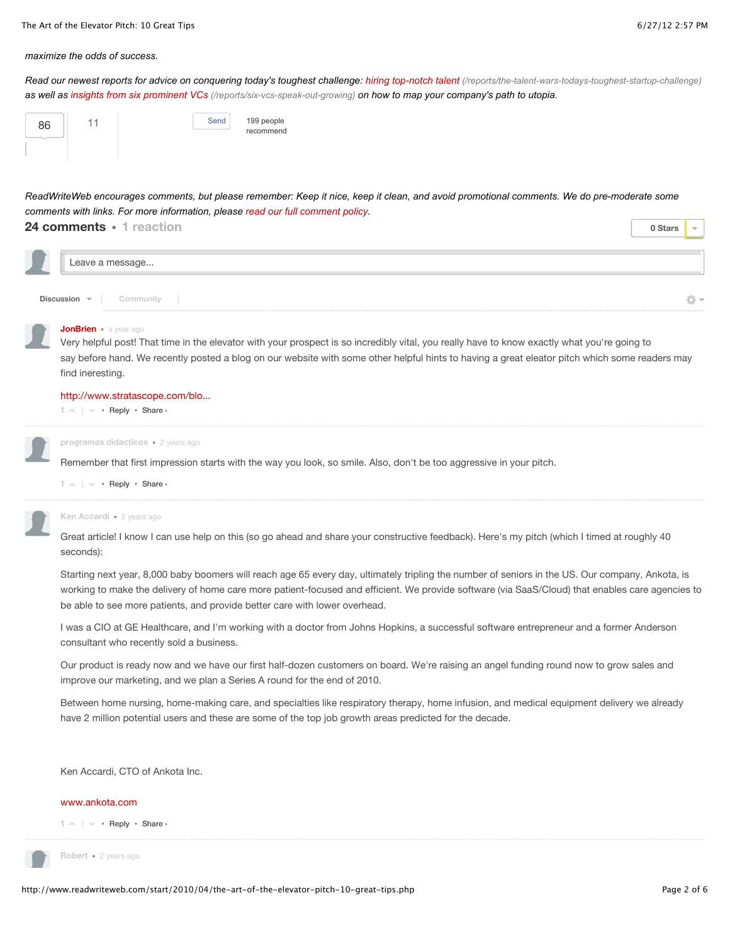#### *maximize the odds of success.*

*Read our newest reports for advice on conquering today's toughest challenge: [hiring top-notch talent \(/reports/the-talent-wars-todays-toughest-startup-challenge\)](http://www.readwriteweb.com/reports/the-talent-wars-todays-toughest-startup-challenge) as well as [insights from six prominent VCs \(/reports/six-vcs-speak-out-growing\)](http://www.readwriteweb.com/reports/six-vcs-speak-out-growing) on how to map your company's path to utopia.*

| 86 |  | Send | 199 people |
|----|--|------|------------|
|    |  |      | recommend  |
|    |  |      |            |

*ReadWriteWeb encourages comments, but please remember: Keep it nice, keep it clean, and avoid promotional comments. We do pre-moderate some comments with links. For more information, please [read our full comment policy.](http://www.readwriteweb.com/archives/comment_guidelines.php)*

| 24 comments · 1 reaction |  | 0 Stars |  |
|--------------------------|--|---------|--|
| Leave a message          |  |         |  |
| Discussion v Community   |  |         |  |

#### **[JonBrien](http://www.readwriteweb.com/start/2010/04/the-art-of-the-elevator-pitch-10-great-tips.php#)** • [a year ago](http://www.readwriteweb.com/start/2010/04/the-art-of-the-elevator-pitch-10-great-tips.php#comment-252193317)

Very helpful post! That time in the elevator with your prospect is so incredibly vital, you really have to know exactly what you're going to say before hand. We recently posted a blog on our website with some other helpful hints to having a great eleator pitch which some readers may find ineresting.

#### [http://www.stratascope.com/blo...](http://www.stratascope.com/blog/bid/53985/Sales-preparedness-starts-with-your-elevator-pitch)

 $1 \wedge \cdots \vee \cdots$  $1 \wedge \cdots \vee \cdots$  [Reply](http://www.readwriteweb.com/start/2010/04/the-art-of-the-elevator-pitch-10-great-tips.php#)  $\cdot$  Share  $\cdot$ 



Remember that first impression starts with the way you look, so smile. Also, don't be too aggressive in your pitch.

 $1 \wedge \cdots \vee \cdots$  $1 \wedge \cdots \vee \cdots$  [Reply](http://www.readwriteweb.com/start/2010/04/the-art-of-the-elevator-pitch-10-great-tips.php#)  $\cdot$  Share  $\cdot$ 

#### **Ken Accardi** • [2 years ago](http://www.readwriteweb.com/start/2010/04/the-art-of-the-elevator-pitch-10-great-tips.php#comment-110217892)

Great article! I know I can use help on this (so go ahead and share your constructive feedback). Here's my pitch (which I timed at roughly 40 seconds):

Starting next year, 8,000 baby boomers will reach age 65 every day, ultimately tripling the number of seniors in the US. Our company, Ankota, is working to make the delivery of home care more patient-focused and efficient. We provide software (via SaaS/Cloud) that enables care agencies to be able to see more patients, and provide better care with lower overhead.

I was a CIO at GE Healthcare, and I'm working with a doctor from Johns Hopkins, a successful software entrepreneur and a former Anderson consultant who recently sold a business.

Our product is ready now and we have our first half-dozen customers on board. We're raising an angel funding round now to grow sales and improve our marketing, and we plan a Series A round for the end of 2010.

Between home nursing, home-making care, and specialties like respiratory therapy, home infusion, and medical equipment delivery we already have 2 million potential users and these are some of the top job growth areas predicted for the decade.

Ken Accardi, CTO of Ankota Inc.

#### [www.ankota.com](http://www.ankota.com/)

 $1 \wedge \cdots \vee \cdots$  $1 \wedge \cdots \vee \cdots$  [Reply](http://www.readwriteweb.com/start/2010/04/the-art-of-the-elevator-pitch-10-great-tips.php#)  $\cdot$  Share  $\cdot$ 



**Robert** • [2 years ago](http://www.readwriteweb.com/start/2010/04/the-art-of-the-elevator-pitch-10-great-tips.php#comment-110217884)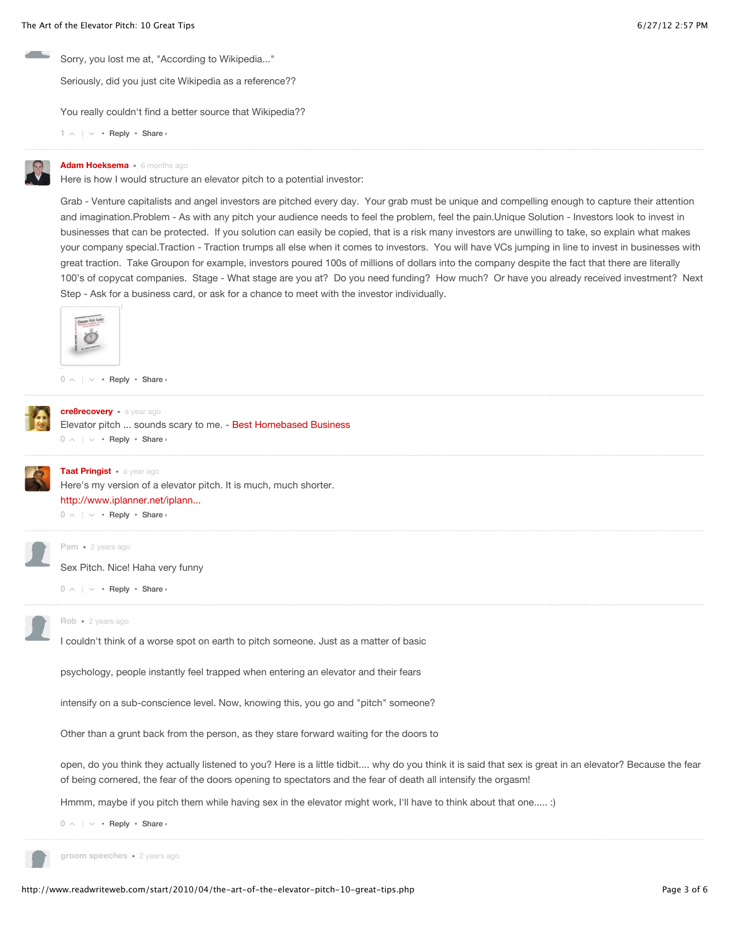Sorry, you lost me at, "According to Wikipedia..."

Seriously, did you just cite Wikipedia as a reference??

You really couldn't find a better source that Wikipedia??

```
1 \wedge \cdots \vee \cdotsReply \cdot Share \cdot
```


#### **[Adam Hoeksema](http://www.readwriteweb.com/start/2010/04/the-art-of-the-elevator-pitch-10-great-tips.php#)** • [6 months ago](http://www.readwriteweb.com/start/2010/04/the-art-of-the-elevator-pitch-10-great-tips.php#comment-403898774)

Here is how I would structure an elevator pitch to a potential investor:

Grab - Venture capitalists and angel investors are pitched every day. Your grab must be unique and compelling enough to capture their attention and imagination.Problem - As with any pitch your audience needs to feel the problem, feel the pain.Unique Solution - Investors look to invest in businesses that can be protected. If you solution can easily be copied, that is a risk many investors are unwilling to take, so explain what makes your company special.Traction - Traction trumps all else when it comes to investors. You will have VCs jumping in line to invest in businesses with great traction. Take Groupon for example, investors poured 100s of millions of dollars into the company despite the fact that there are literally 100's of copycat companies. Stage - What stage are you at? Do you need funding? How much? Or have you already received investment? Next Step - Ask for a business card, or ask for a chance to meet with the investor individually.



 $0 \land \cdot \cdot \vee \cdot$  $0 \land \cdot \cdot \vee \cdot$  [Reply](http://www.readwriteweb.com/start/2010/04/the-art-of-the-elevator-pitch-10-great-tips.php#)  $\cdot$  Share  $\cdot$ 



**[cre8recovery](http://www.readwriteweb.com/start/2010/04/the-art-of-the-elevator-pitch-10-great-tips.php#)** • [a year ago](http://www.readwriteweb.com/start/2010/04/the-art-of-the-elevator-pitch-10-great-tips.php#comment-199908617)

 $0 \land \cdot \cdot \vee \cdot$  $0 \land \cdot \cdot \vee \cdot$  [Reply](http://www.readwriteweb.com/start/2010/04/the-art-of-the-elevator-pitch-10-great-tips.php#)  $\cdot$  Share  $\cdot$ Elevator pitch ... sounds scary to me. - [Best Homebased Business](http://www.cre8recoery.com/)



#### **[Taat Pringist](http://www.readwriteweb.com/start/2010/04/the-art-of-the-elevator-pitch-10-great-tips.php#)** • [a year ago](http://www.readwriteweb.com/start/2010/04/the-art-of-the-elevator-pitch-10-great-tips.php#comment-129667398)

 $0 \land \cdot \cdot \vee \cdot$  $0 \land \cdot \cdot \vee \cdot$  [Reply](http://www.readwriteweb.com/start/2010/04/the-art-of-the-elevator-pitch-10-great-tips.php#)  $\cdot$  Share  $\cdot$ Here's my version of a elevator pitch. It is much, much shorter. [http://www.iplanner.net/iplann...](http://www.iplanner.net/iplanner2007/public/how-to-articles.aspx?article_id=elevator-pitch)



**Pam** • [2 years ago](http://www.readwriteweb.com/start/2010/04/the-art-of-the-elevator-pitch-10-great-tips.php#comment-110217909)

Sex Pitch. Nice! Haha very funny

 $0 \land \cdot \cdot \vee \cdot$  $0 \land \cdot \cdot \vee \cdot$  [Reply](http://www.readwriteweb.com/start/2010/04/the-art-of-the-elevator-pitch-10-great-tips.php#)  $\cdot$  Share  $\cdot$ 



## **Rob** • [2 years ago](http://www.readwriteweb.com/start/2010/04/the-art-of-the-elevator-pitch-10-great-tips.php#comment-110217905)

I couldn't think of a worse spot on earth to pitch someone. Just as a matter of basic

psychology, people instantly feel trapped when entering an elevator and their fears

intensify on a sub-conscience level. Now, knowing this, you go and "pitch" someone?

Other than a grunt back from the person, as they stare forward waiting for the doors to

open, do you think they actually listened to you? Here is a little tidbit.... why do you think it is said that sex is great in an elevator? Because the fear of being cornered, the fear of the doors opening to spectators and the fear of death all intensify the orgasm!

Hmmm, maybe if you pitch them while having sex in the elevator might work, I'll have to think about that one..... :)

 $0 \land \cdot \cdot \vee \cdot$  $0 \land \cdot \cdot \vee \cdot$  [Reply](http://www.readwriteweb.com/start/2010/04/the-art-of-the-elevator-pitch-10-great-tips.php#)  $\cdot$  Share  $\cdot$ 

**groom speeches** • [2 years ago](http://www.readwriteweb.com/start/2010/04/the-art-of-the-elevator-pitch-10-great-tips.php#comment-110217902)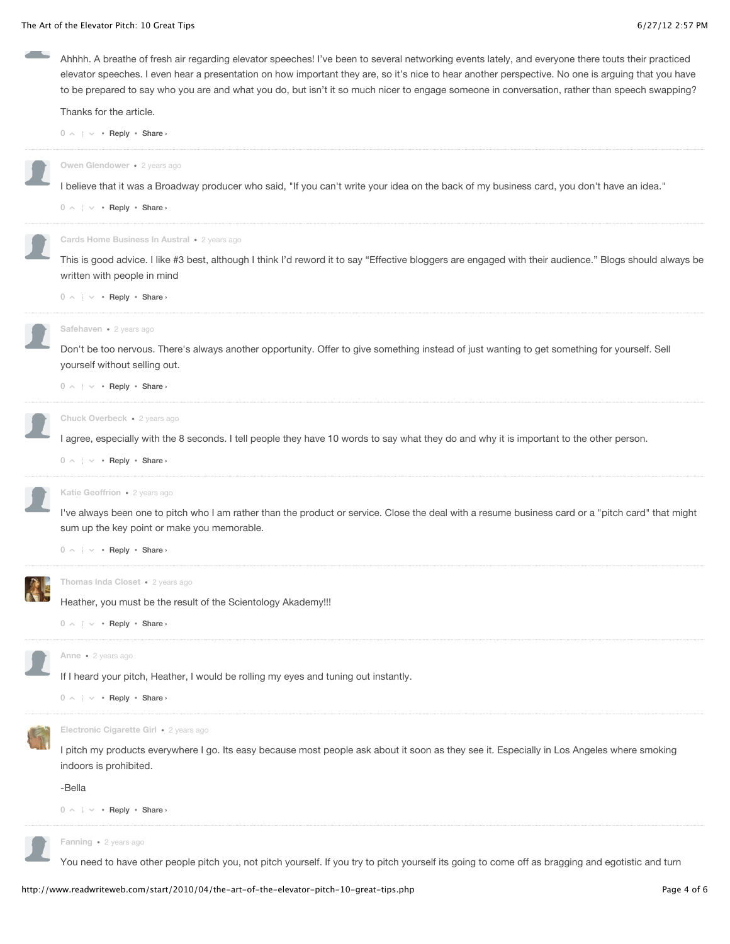$0 \land \cdot \cdot \vee \cdot$  $0 \land \cdot \cdot \vee \cdot$  [Reply](http://www.readwriteweb.com/start/2010/04/the-art-of-the-elevator-pitch-10-great-tips.php#)  $\cdot$  Share  $\cdot$ Ahhhh. A breathe of fresh air regarding elevator speeches! I've been to several networking events lately, and everyone there touts their practiced elevator speeches. I even hear a presentation on how important they are, so it's nice to hear another perspective. No one is arguing that you have to be prepared to say who you are and what you do, but isn't it so much nicer to engage someone in conversation, rather than speech swapping? Thanks for the article.  $0 \land \cdot \cdot \vee \cdot$  $0 \land \cdot \cdot \vee \cdot$  [Reply](http://www.readwriteweb.com/start/2010/04/the-art-of-the-elevator-pitch-10-great-tips.php#)  $\cdot$  Share  $\cdot$ I believe that it was a Broadway producer who said, "If you can't write your idea on the back of my business card, you don't have an idea." **Owen Glendower** • [2 years ago](http://www.readwriteweb.com/start/2010/04/the-art-of-the-elevator-pitch-10-great-tips.php#comment-110217900)  $0 \land \cdot \cdot \vee \cdot$  $0 \land \cdot \cdot \vee \cdot$  [Reply](http://www.readwriteweb.com/start/2010/04/the-art-of-the-elevator-pitch-10-great-tips.php#)  $\cdot$  Share  $\cdot$ This is good advice. I like #3 best, although I think I'd reword it to say "Effective bloggers are engaged with their audience." Blogs should always be written with people in mind **Cards Home Business In Austral** • [2 years ago](http://www.readwriteweb.com/start/2010/04/the-art-of-the-elevator-pitch-10-great-tips.php#comment-110217897)  $0 \land \cdot \cdot \vee \cdot$  $0 \land \cdot \cdot \vee \cdot$  [Reply](http://www.readwriteweb.com/start/2010/04/the-art-of-the-elevator-pitch-10-great-tips.php#)  $\cdot$  Share  $\cdot$ Don't be too nervous. There's always another opportunity. Offer to give something instead of just wanting to get something for yourself. Sell yourself without selling out. **Safehaven** • [2 years ago](http://www.readwriteweb.com/start/2010/04/the-art-of-the-elevator-pitch-10-great-tips.php#comment-110217894)  $0 \land \cdot \cdot \vee \cdot$  $0 \land \cdot \cdot \vee \cdot$  [Reply](http://www.readwriteweb.com/start/2010/04/the-art-of-the-elevator-pitch-10-great-tips.php#)  $\cdot$  Share  $\cdot$ I agree, especially with the 8 seconds. I tell people they have 10 words to say what they do and why it is important to the other person. **Chuck Overbeck** • [2 years ago](http://www.readwriteweb.com/start/2010/04/the-art-of-the-elevator-pitch-10-great-tips.php#comment-110217888)  $0 \land \cdot \cdot \vee \cdot$  $0 \land \cdot \cdot \vee \cdot$  [Reply](http://www.readwriteweb.com/start/2010/04/the-art-of-the-elevator-pitch-10-great-tips.php#)  $\cdot$  Share  $\cdot$ I've always been one to pitch who I am rather than the product or service. Close the deal with a resume business card or a "pitch card" that might sum up the key point or make you memorable. **Katie Geoffrion** • [2 years ago](http://www.readwriteweb.com/start/2010/04/the-art-of-the-elevator-pitch-10-great-tips.php#comment-110217885)  $0 \land \cdot \cdot \vee \cdot$  $0 \land \cdot \cdot \vee \cdot$  [Reply](http://www.readwriteweb.com/start/2010/04/the-art-of-the-elevator-pitch-10-great-tips.php#)  $\cdot$  Share  $\cdot$ Heather, you must be the result of the Scientology Akademy!!! **Thomas Inda Closet** • [2 years ago](http://www.readwriteweb.com/start/2010/04/the-art-of-the-elevator-pitch-10-great-tips.php#comment-110217882)  $0 \land \cdot \cdot \vee \cdot$  $0 \land \cdot \cdot \vee \cdot$  [Reply](http://www.readwriteweb.com/start/2010/04/the-art-of-the-elevator-pitch-10-great-tips.php#)  $\cdot$  Share  $\cdot$ If I heard your pitch, Heather, I would be rolling my eyes and tuning out instantly. **Anne** • [2 years ago](http://www.readwriteweb.com/start/2010/04/the-art-of-the-elevator-pitch-10-great-tips.php#comment-110217880)  $0 \land \cdot \cdot \vee \cdot$  $0 \land \cdot \cdot \vee \cdot$  [Reply](http://www.readwriteweb.com/start/2010/04/the-art-of-the-elevator-pitch-10-great-tips.php#)  $\cdot$  Share  $\cdot$ I pitch my products everywhere I go. Its easy because most people ask about it soon as they see it. Especially in Los Angeles where smoking indoors is prohibited. -Bella **Electronic Cigarette Girl** • [2 years ago](http://www.readwriteweb.com/start/2010/04/the-art-of-the-elevator-pitch-10-great-tips.php#comment-110217877) You need to have other people pitch you, not pitch yourself. If you try to pitch yourself its going to come off as bragging and egotistic and turn **Fanning** • [2 years ago](http://www.readwriteweb.com/start/2010/04/the-art-of-the-elevator-pitch-10-great-tips.php#comment-110217876)